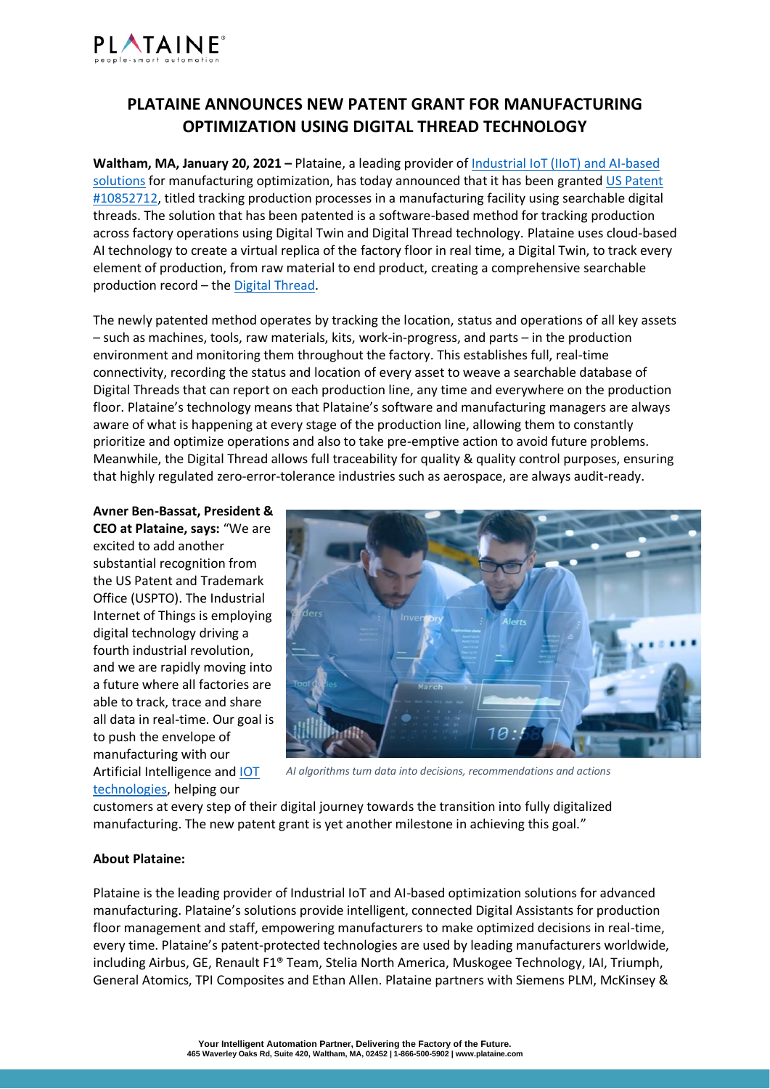

## **PLATAINE ANNOUNCES NEW PATENT GRANT FOR MANUFACTURING OPTIMIZATION USING DIGITAL THREAD TECHNOLOGY**

**Waltham, MA, January 20, 2021 –** Plataine, a leading provider o[f Industrial IoT \(IIoT\) and AI-based](https://www.plataine.com/application/artificial-intelligence/)  [solutions](https://www.plataine.com/application/artificial-intelligence/) for manufacturing optimization, has today announced that it has been grante[d US Patent](https://patents.google.com/patent/US10852712B2/en?oq=US+10852712)  [#10852712,](https://patents.google.com/patent/US10852712B2/en?oq=US+10852712) titled tracking production processes in a manufacturing facility using searchable digital threads. The solution that has been patented is a software-based method for tracking production across factory operations using Digital Twin and Digital Thread technology. Plataine uses cloud-based AI technology to create a virtual replica of the factory floor in real time, a Digital Twin, to track every element of production, from raw material to end product, creating a comprehensive searchable production record – the [Digital Thread.](https://www.plataine.com/application/digital-thread/)

The newly patented method operates by tracking the location, status and operations of all key assets – such as machines, tools, raw materials, kits, work-in-progress, and parts – in the production environment and monitoring them throughout the factory. This establishes full, real-time connectivity, recording the status and location of every asset to weave a searchable database of Digital Threads that can report on each production line, any time and everywhere on the production floor. Plataine's technology means that Plataine's software and manufacturing managers are always aware of what is happening at every stage of the production line, allowing them to constantly prioritize and optimize operations and also to take pre-emptive action to avoid future problems. Meanwhile, the Digital Thread allows full traceability for quality & quality control purposes, ensuring that highly regulated zero-error-tolerance industries such as aerospace, are always audit-ready.

**Avner Ben-Bassat, President & CEO at Plataine, says:** "We are excited to add another substantial recognition from the US Patent and Trademark Office (USPTO). The Industrial Internet of Things is employing digital technology driving a fourth industrial revolution, and we are rapidly moving into a future where all factories are able to track, trace and share all data in real-time. Our goal is to push the envelope of manufacturing with our Artificial Intelligence and [IOT](https://www.plataine.com/application/industrial-iot/)  [technologies,](https://www.plataine.com/application/industrial-iot/) helping our



*AI algorithms turn data into decisions, recommendations and actions*

customers at every step of their digital journey towards the transition into fully digitalized manufacturing. The new patent grant is yet another milestone in achieving this goal."

## **About Plataine:**

Plataine is the leading provider of Industrial IoT and AI-based optimization solutions for advanced manufacturing. Plataine's solutions provide intelligent, connected Digital Assistants for production floor management and staff, empowering manufacturers to make optimized decisions in real-time, every time. Plataine's patent-protected technologies are used by leading manufacturers worldwide, including Airbus, GE, Renault F1® Team, Stelia North America, Muskogee Technology, IAI, Triumph, General Atomics, TPI Composites and Ethan Allen. Plataine partners with Siemens PLM, McKinsey &